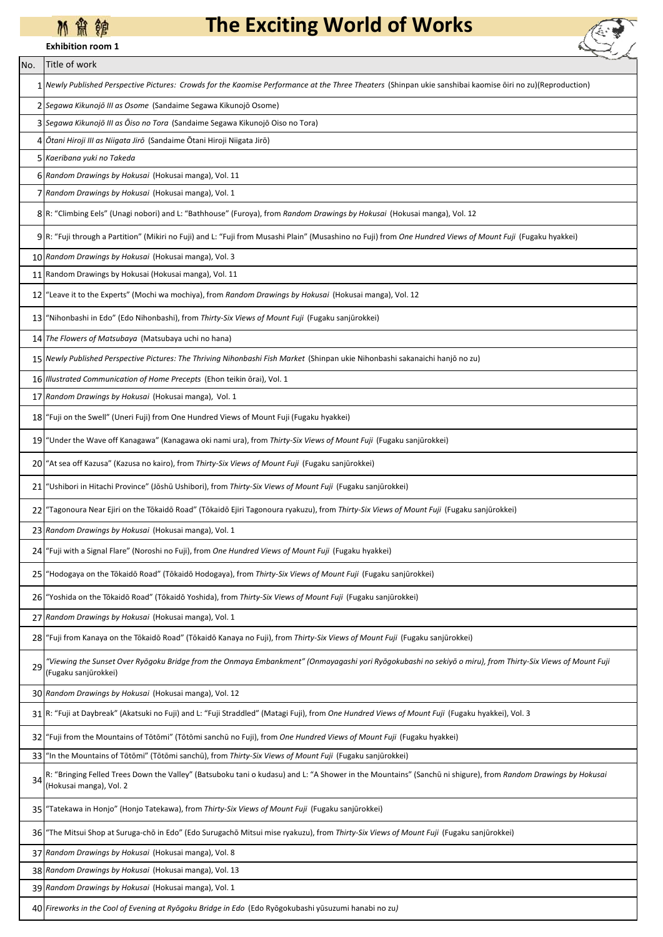## **M 箫 缠**

**Exhibition room 1**

## **The Exciting World of Works**



| No. | Title of work                                                                                                                                                                           |  |  |  |
|-----|-----------------------------------------------------------------------------------------------------------------------------------------------------------------------------------------|--|--|--|
|     | Newly Published Perspective Pictures: Crowds for the Kaomise Performance at the Three Theaters (Shinpan ukie sanshibai kaomise ōiri no zu)(Reproduction)                                |  |  |  |
|     | Segawa Kikunojō III as Osome (Sandaime Segawa Kikunojō Osome)                                                                                                                           |  |  |  |
|     | 3 Segawa Kikunojō III as Ōiso no Tora (Sandaime Segawa Kikunojō Oiso no Tora)                                                                                                           |  |  |  |
| 4   | Ōtani Hiroji III as Niigata Jirō (Sandaime Ōtani Hiroji Niigata Jirō)                                                                                                                   |  |  |  |
|     | Kaeribana yuki no Takeda                                                                                                                                                                |  |  |  |
|     | 6 Random Drawings by Hokusai (Hokusai manga), Vol. 11                                                                                                                                   |  |  |  |
|     | Random Drawings by Hokusai (Hokusai manga), Vol. 1                                                                                                                                      |  |  |  |
|     | 8 R: "Climbing Eels" (Unagi nobori) and L: "Bathhouse" (Furoya), from Random Drawings by Hokusai (Hokusai manga), Vol. 12                                                               |  |  |  |
|     | 9 R: "Fuji through a Partition" (Mikiri no Fuji) and L: "Fuji from Musashi Plain" (Musashino no Fuji) from One Hundred Views of Mount Fuji (Fugaku hyakkei)                             |  |  |  |
|     | 10 Random Drawings by Hokusai (Hokusai manga), Vol. 3                                                                                                                                   |  |  |  |
|     | 11 Random Drawings by Hokusai (Hokusai manga), Vol. 11                                                                                                                                  |  |  |  |
|     | 12 "Leave it to the Experts" (Mochi wa mochiya), from Random Drawings by Hokusai (Hokusai manga), Vol. 12                                                                               |  |  |  |
| 13  | "Nihonbashi in Edo" (Edo Nihonbashi), from Thirty-Six Views of Mount Fuji (Fugaku sanjūrokkei)                                                                                          |  |  |  |
|     | 14 The Flowers of Matsubaya (Matsubaya uchi no hana)                                                                                                                                    |  |  |  |
|     | 15 Newly Published Perspective Pictures: The Thriving Nihonbashi Fish Market (Shinpan ukie Nihonbashi sakanaichi hanjō no zu)                                                           |  |  |  |
|     | 16 Illustrated Communication of Home Precepts (Ehon teikin ōrai), Vol. 1                                                                                                                |  |  |  |
|     | 17 Random Drawings by Hokusai (Hokusai manga), Vol. 1                                                                                                                                   |  |  |  |
|     | 18 "Fuji on the Swell" (Uneri Fuji) from One Hundred Views of Mount Fuji (Fugaku hyakkei)                                                                                               |  |  |  |
|     | 19 "Under the Wave off Kanagawa" (Kanagawa oki nami ura), from Thirty-Six Views of Mount Fuji (Fugaku sanjūrokkei)                                                                      |  |  |  |
|     | 20 "At sea off Kazusa" (Kazusa no kairo), from Thirty-Six Views of Mount Fuji (Fugaku sanjūrokkei)                                                                                      |  |  |  |
| 21  | "Ushibori in Hitachi Province" (Jōshū Ushibori), from <i>Thirty-Six Views of Mount Fuji (</i> Fugaku sanjūrokkei)                                                                       |  |  |  |
| 22  | "Tagonoura Near Ejiri on the Tōkaidō Road" (Tōkaidō Ejiri Tagonoura ryakuzu), from Thirty-Six Views of Mount Fuji (Fugaku sanjūrokkei)                                                  |  |  |  |
|     | 23 Random Drawings by Hokusai (Hokusai manga), Vol. 1                                                                                                                                   |  |  |  |
|     | 24 "Fuji with a Signal Flare" (Noroshi no Fuji), from One Hundred Views of Mount Fuji (Fugaku hyakkei)                                                                                  |  |  |  |
| 25  | "Hodogaya on the Tōkaidō Road" (Tōkaidō Hodogaya), from Thirty-Six Views of Mount Fuji (Fugaku sanjūrokkei)                                                                             |  |  |  |
| 261 | "Yoshida on the Tōkaidō Road" (Tōkaidō Yoshida), from Thirty-Six Views of Mount Fuji (Fugaku sanjūrokkei)                                                                               |  |  |  |
| 27  | Random Drawings by Hokusai (Hokusai manga), Vol. 1                                                                                                                                      |  |  |  |
|     | 28 Fuji from Kanaya on the Tōkaidō Road" (Tōkaidō Kanaya no Fuji), from Thirty-Six Views of Mount Fuji (Fugaku sanjūrokkei)                                                             |  |  |  |
| 29  | "Viewing the Sunset Over Ryōgoku Bridge from the Onmaya Embankment" (Onmayagashi yori Ryōgokubashi no sekiyō o miru), from Thirty-Six Views of Mount Fuji<br>(Fugaku sanjūrokkei)       |  |  |  |
|     | 30 Random Drawings by Hokusai (Hokusai manga), Vol. 12                                                                                                                                  |  |  |  |
|     | 31 R: "Fuji at Daybreak" (Akatsuki no Fuji) and L: "Fuji Straddled" (Matagi Fuji), from One Hundred Views of Mount Fuji (Fugaku hyakkei), Vol. 3                                        |  |  |  |
| 32  | "Fuji from the Mountains of Tōtōmi" (Tōtōmi sanchū no Fuji), from One Hundred Views of Mount Fuji (Fugaku hyakkei)                                                                      |  |  |  |
| 33  | "In the Mountains of Tōtōmi" (Tōtōmi sanchū), from Thirty-Six Views of Mount Fuji (Fugaku sanjūrokkei)                                                                                  |  |  |  |
| 34  | R: "Bringing Felled Trees Down the Valley" (Batsuboku tani o kudasu) and L: "A Shower in the Mountains" (Sanchū ni shigure), from Random Drawings by Hokusai<br>(Hokusai manga), Vol. 2 |  |  |  |
| 35  | "Tatekawa in Honjo" (Honjo Tatekawa), from Thirty-Six Views of Mount Fuji (Fugaku sanjūrokkei)                                                                                          |  |  |  |
| 36  | "The Mitsui Shop at Suruga-chō in Edo" (Edo Surugachō Mitsui mise ryakuzu), from Thirty-Six Views of Mount Fuji (Fugaku sanjūrokkei)                                                    |  |  |  |
| 37  | Random Drawings by Hokusai (Hokusai manga), Vol. 8                                                                                                                                      |  |  |  |
|     | 38 Random Drawings by Hokusai (Hokusai manga), Vol. 13                                                                                                                                  |  |  |  |
|     | 39 Random Drawings by Hokusai (Hokusai manga), Vol. 1                                                                                                                                   |  |  |  |

40 *Fireworks in the Cool of Evening at Ryōgoku Bridge in Edo* (Edo Ryōgokubashi yūsuzumi hanabi no zu*)*